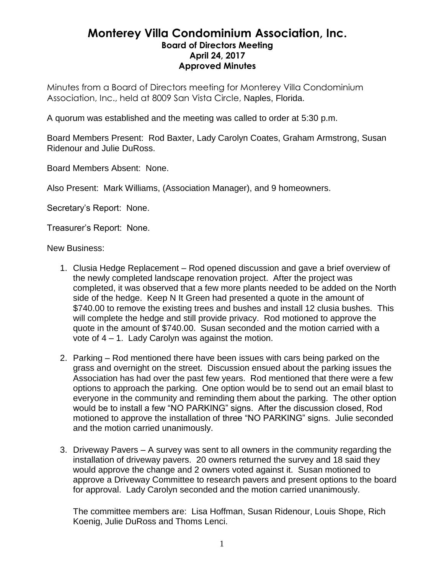## **Monterey Villa Condominium Association, Inc. Board of Directors Meeting April 24, 2017 Approved Minutes**

Minutes from a Board of Directors meeting for Monterey Villa Condominium Association, Inc., held at 8009 San Vista Circle, Naples, Florida.

A quorum was established and the meeting was called to order at 5:30 p.m.

Board Members Present: Rod Baxter, Lady Carolyn Coates, Graham Armstrong, Susan Ridenour and Julie DuRoss.

Board Members Absent: None.

Also Present: Mark Williams, (Association Manager), and 9 homeowners.

Secretary's Report: None.

Treasurer's Report: None.

New Business:

- 1. Clusia Hedge Replacement Rod opened discussion and gave a brief overview of the newly completed landscape renovation project. After the project was completed, it was observed that a few more plants needed to be added on the North side of the hedge. Keep N It Green had presented a quote in the amount of \$740.00 to remove the existing trees and bushes and install 12 clusia bushes. This will complete the hedge and still provide privacy. Rod motioned to approve the quote in the amount of \$740.00. Susan seconded and the motion carried with a vote of 4 – 1. Lady Carolyn was against the motion.
- 2. Parking Rod mentioned there have been issues with cars being parked on the grass and overnight on the street. Discussion ensued about the parking issues the Association has had over the past few years. Rod mentioned that there were a few options to approach the parking. One option would be to send out an email blast to everyone in the community and reminding them about the parking. The other option would be to install a few "NO PARKING" signs. After the discussion closed, Rod motioned to approve the installation of three "NO PARKING" signs. Julie seconded and the motion carried unanimously.
- 3. Driveway Pavers A survey was sent to all owners in the community regarding the installation of driveway pavers. 20 owners returned the survey and 18 said they would approve the change and 2 owners voted against it. Susan motioned to approve a Driveway Committee to research pavers and present options to the board for approval. Lady Carolyn seconded and the motion carried unanimously.

The committee members are: Lisa Hoffman, Susan Ridenour, Louis Shope, Rich Koenig, Julie DuRoss and Thoms Lenci.